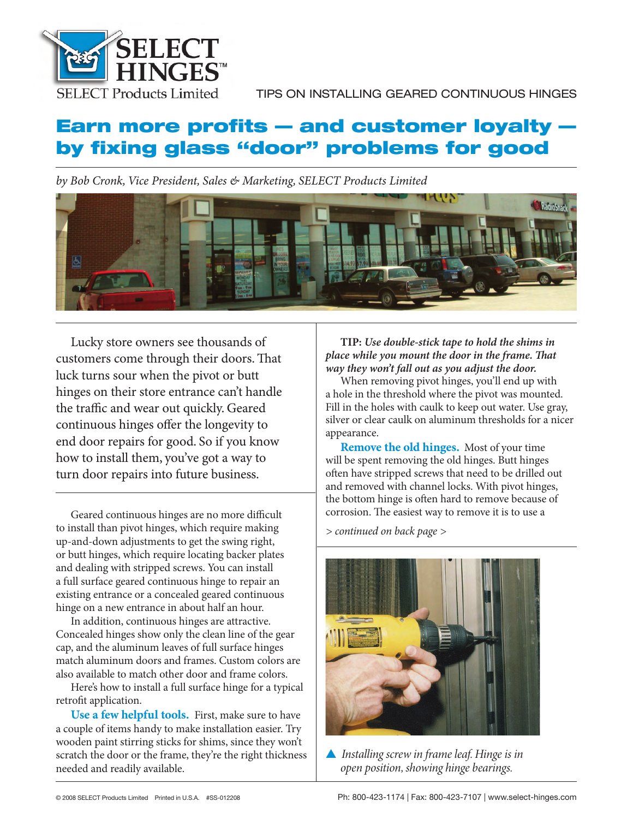

# **Earn more profits – and customer loyalty – by fi xing glass "door" problems for good**

*by Bob Cronk, Vice President, Sales & Marketing, SELECT Products Limited*



Lucky store owners see thousands of customers come through their doors. That luck turns sour when the pivot or butt hinges on their store entrance can't handle the traffic and wear out quickly. Geared continuous hinges offer the longevity to end door repairs for good. So if you know how to install them, you've got a way to turn door repairs into future business.

Geared continuous hinges are no more difficult to install than pivot hinges, which require making up-and-down adjustments to get the swing right, or butt hinges, which require locating backer plates and dealing with stripped screws. You can install a full surface geared continuous hinge to repair an existing entrance or a concealed geared continuous hinge on a new entrance in about half an hour.

In addition, continuous hinges are attractive. Concealed hinges show only the clean line of the gear cap, and the aluminum leaves of full surface hinges match aluminum doors and frames. Custom colors are also available to match other door and frame colors.

Here's how to install a full surface hinge for a typical retrofit application.

**Use a few helpful tools.** First, make sure to have a couple of items handy to make installation easier. Try wooden paint stirring sticks for shims, since they won't scratch the door or the frame, they're the right thickness needed and readily available.

**TIP:** *Use double-stick tape to hold the shims in place while you mount the door in the frame. That way they won't fall out as you adjust the door.*

When removing pivot hinges, you'll end up with a hole in the threshold where the pivot was mounted. Fill in the holes with caulk to keep out water. Use gray, silver or clear caulk on aluminum thresholds for a nicer appearance.

**Remove the old hinges.** Most of your time will be spent removing the old hinges. Butt hinges often have stripped screws that need to be drilled out and removed with channel locks. With pivot hinges, the bottom hinge is often hard to remove because of corrosion. The easiest way to remove it is to use a

*> continued on back page >*



▲ *Installing screw in frame leaf. Hinge is in open position, showing hinge bearings.*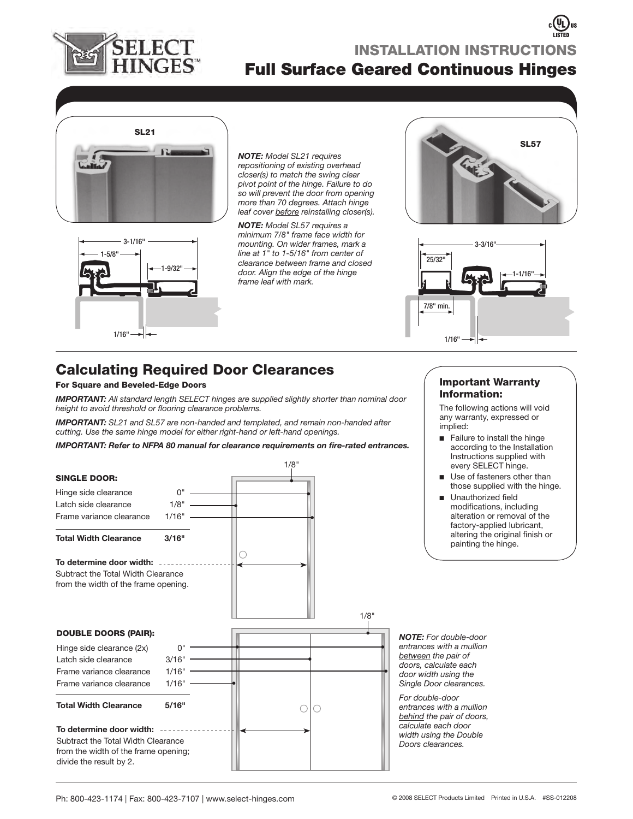

# **Full Surface Geared Continuous Hinges INSTALLATION INSTRUCTIONS**



*NOTE: Model SL21 requires repositioning of existing overhead closer(s) to match the swing clear pivot point of the hinge. Failure to do so will prevent the door from opening more than 70 degrees. Attach hinge leaf cover before reinstalling closer(s).*

1-9/32" 3-1/16" 1/16" 1-5/8"

*NOTE: Model SL57 requires a minimum 7/8" frame face width for mounting. On wider frames, mark a line at 1" to 1-5/16" from center of clearance between frame and closed door. Align the edge of the hinge frame leaf with mark.* 





# **Calculating Required Door Clearances**

### **For Square and Beveled-Edge Doors**

*IMPORTANT: All standard length SELECT hinges are supplied slightly shorter than nominal door*  height to avoid threshold or flooring clearance problems.

*IMPORTANT: SL21 and SL57 are non-handed and templated, and remain non-handed after cutting. Use the same hinge model for either right-hand or left-hand openings.*

*IMPORTANT: Refer to NFPA 80 manual for clearance requirements on fire-rated entrances.* 



### **Important Warranty Information:**

The following actions will void any warranty, expressed or implied:

- Failure to install the hinge according to the Installation Instructions supplied with every SELECT hinge.
- Use of fasteners other than those supplied with the hinge. ■
- Unauthorized field modifications, including alteration or removal of the factory-applied lubricant, altering the original finish or painting the hinge. ■

*NOTE: For double-door entrances with a mullion between the pair of doors, calculate each door width using the Single Door clearances.* 

*For double-door entrances with a mullion behind the pair of doors, calculate each door width using the Double Doors clearances.*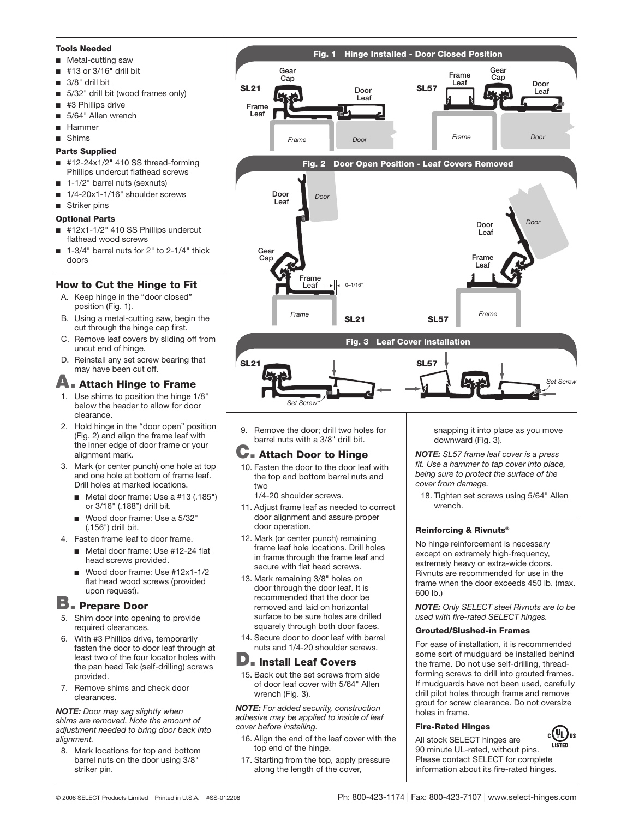#### **Tools Needed**

- Metal-cutting saw ■
- #13 or 3/16" drill bit ■
- 3/8" drill bit ■
- 5/32" drill bit (wood frames only) ■
- #3 Phillips drive ■
- 5/64" Allen wrench ■
- Hammer ■
- Shims ■

### **Parts Supplied**

- #12-24x1/2" 410 SS thread-forming Phillips undercut flathead screws ■
- 1-1/2" barrel nuts (sexnuts) ■
- 1/4-20x1-1/16" shoulder screws ■
- Striker pins

#### **Optional Parts**

- #12x1-1/2" 410 SS Phillips undercut flathead wood screws ■
- 1-3/4" barrel nuts for 2" to 2-1/4" thick doors ■

### **How to Cut the Hinge to Fit**

- A. Keep hinge in the "door closed" position (Fig. 1).
- B. Using a metal-cutting saw, begin the cut through the hinge cap first.
- C. Remove leaf covers by sliding off from uncut end of hinge.
- D. Reinstall any set screw bearing that may have been cut off.

# **A. Attach Hinge to Frame**

- 1. Use shims to position the hinge 1/8" below the header to allow for door clearance.
- 2. Hold hinge in the "door open" position (Fig. 2) and align the frame leaf with the inner edge of door frame or your alignment mark.
- 3. Mark (or center punch) one hole at top and one hole at bottom of frame leaf. Drill holes at marked locations.
	- Metal door frame: Use a #13 (.185") or 3/16" (.188") drill bit.
	- Wood door frame: Use a 5/32" (.156") drill bit.
- 4. Fasten frame leaf to door frame.
	- Metal door frame: Use #12-24 flat head screws provided.
	- Wood door frame: Use #12x1-1/2 flat head wood screws (provided upon request). ■

# **B. Prepare Door**

- 5. Shim door into opening to provide required clearances.
- 6. With #3 Phillips drive, temporarily fasten the door to door leaf through at least two of the four locator holes with the pan head Tek (self-drilling) screws provided.
- 7. Remove shims and check door clearances.

#### *NOTE: Door may sag slightly when shims are removed. Note the amount of adjustment needed to bring door back into alignment.*

8. Mark locations for top and bottom barrel nuts on the door using 3/8" striker pin.



9. Remove the door; drill two holes for barrel nuts with a 3/8" drill bit.

## **C. Attach Door to Hinge**

10. Fasten the door to the door leaf with the top and bottom barrel nuts and two

1/4-20 shoulder screws.

- 11. Adjust frame leaf as needed to correct door alignment and assure proper door operation.
- 12. Mark (or center punch) remaining frame leaf hole locations. Drill holes in frame through the frame leaf and secure with flat head screws.
- 13. Mark remaining 3/8" holes on door through the door leaf. It is recommended that the door be removed and laid on horizontal surface to be sure holes are drilled squarely through both door faces.
- 14. Secure door to door leaf with barrel nuts and 1/4-20 shoulder screws.

### **D. Install Leaf Covers**

15. Back out the set screws from side of door leaf cover with 5/64" Allen wrench (Fig. 3).

*NOTE: For added security, construction adhesive may be applied to inside of leaf cover before installing.*

- 16. Align the end of the leaf cover with the top end of the hinge.
- 17. Starting from the top, apply pressure along the length of the cover,

snapping it into place as you move downward (Fig. 3).

*NOTE: SL57 frame leaf cover is a press*  fit. Use a hammer to tap cover into place, *being sure to protect the surface of the cover from damage.*

18. Tighten set screws using 5/64" Allen wrench.

### **Reinforcing & Rivnuts®**

No hinge reinforcement is necessary except on extremely high-frequency, extremely heavy or extra-wide doors. Rivnuts are recommended for use in the frame when the door exceeds 450 lb. (max. 600 lb.)

*NOTE: Only SELECT steel Rivnuts are to be*  used with fire-rated **SELECT** hinges.

#### **Grouted/Slushed-in Frames**

For ease of installation, it is recommended some sort of mudguard be installed behind the frame. Do not use self-drilling, threadforming screws to drill into grouted frames. If mudguards have not been used, carefully drill pilot holes through frame and remove grout for screw clearance. Do not oversize holes in frame.

### **Fire-Rated Hinges**

 $_{\rm c}(\mathtt{\mathsf{U}}_{\mathsf{L}})_{\rm us}$ All stock SELECT hinges are 90 minute UL-rated, without pins. Please contact SELECT for complete information about its fire-rated hinges.